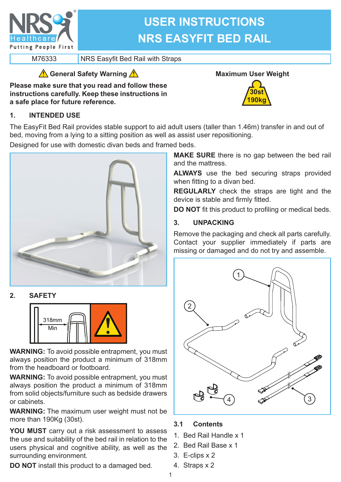

# **USER INSTRUCTIONS NRS EASYFIT BED RAIL**

M76333 NRS Easyfit Bed Rail with Straps

## **General Safety Warning**

**Please make sure that you read and follow these instructions carefully. Keep these instructions in a safe place for future reference.**

# **Maximum User Weight**



## **1. INTENDED USE**

The EasyFit Bed Rail provides stable support to aid adult users (taller than 1.46m) transfer in and out of bed, moving from a lying to a sitting position as well as assist user repositioning.

Designed for use with domestic divan beds and framed beds.



## **2. SAFETY**



**WARNING:** To avoid possible entrapment, you must always position the product a minimum of 318mm from the headboard or footboard.

**WARNING:** To avoid possible entrapment, you must always position the product a minimum of 318mm from solid objects/furniture such as bedside drawers or cabinets.

**WARNING:** The maximum user weight must not be more than 190Kg (30st).

**YOU MUST** carry out a risk assessment to assess the use and suitability of the bed rail in relation to the users physical and cognitive ability, as well as the surrounding environment.

**DO NOT** install this product to a damaged bed.

**MAKE SURE** there is no gap between the bed rail and the mattress.

**ALWAYS** use the bed securing straps provided when fitting to a divan bed.

**REGULARLY** check the straps are tight and the device is stable and firmly fitted.

**DO NOT** fit this product to profiling or medical beds.

## **3. UNPACKING**

Remove the packaging and check all parts carefully. Contact your supplier immediately if parts are missing or damaged and do not try and assemble.



## **3.1 Contents**

- 1. Bed Rail Handle x 1
- 2. Bed Rail Base x 1
- 3. E-clips x 2
- 4. Straps x 2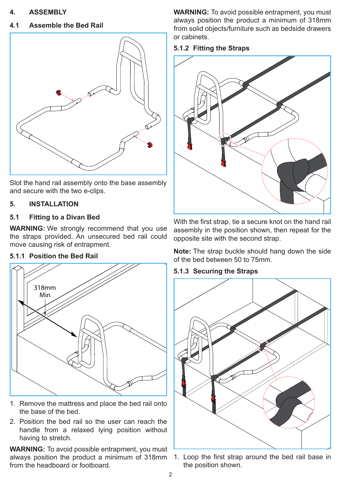#### **4. ASSEMBLY**

#### **4.1 Assemble the Bed Rail**



Slot the hand rail assembly onto the base assembly and secure with the two e-clips.

#### **5. INSTALLATION**

#### **5.1 Fitting to a Divan Bed**

**WARNING:** We strongly recommend that you use the straps provided. An unsecured bed rail could move causing risk of entrapment.

#### **5.1.1 Position the Bed Rail**



- 1. Remove the mattress and place the bed rail onto the base of the bed.
- 2. Position the bed rail so the user can reach the handle from a relaxed lying position without having to stretch.

**WARNING:** To avoid possible entrapment, you must always position the product a minimum of 318mm from the headboard or footboard.

**WARNING:** To avoid possible entrapment, you must always position the product a minimum of 318mm from solid objects/furniture such as bedside drawers or cabinets.

#### **5.1.2 Fitting the Straps**



With the first strap, tie a secure knot on the hand rail assembly in the position shown, then repeat for the opposite site with the second strap.

**Note:** The strap buckle should hang down the side of the bed between 50 to 75mm.

#### **5.1.3 Securing the Straps**



1. Loop the first strap around the bed rail base in the position shown.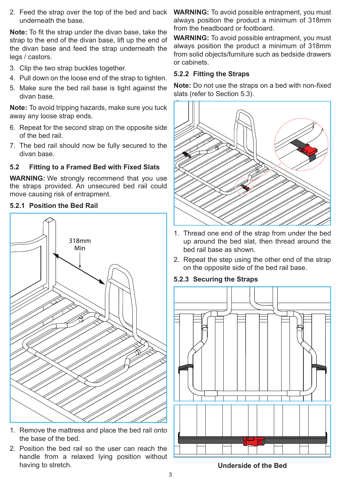2. Feed the strap over the top of the bed and back underneath the base.

**Note:** To fit the strap under the divan base, take the strap to the end of the divan base, lift up the end of the divan base and feed the strap underneath the legs / castors.

- 3. Clip the two strap buckles together.
- 4. Pull down on the loose end of the strap to tighten.
- 5. Make sure the bed rail base is tight against the divan base.

**Note:** To avoid tripping hazards, make sure you tuck away any loose strap ends.

- 6. Repeat for the second strap on the opposite side of the bed rail.
- 7. The bed rail should now be fully secured to the divan base.

#### **5.2 Fitting to a Framed Bed with Fixed Slats**

**WARNING:** We strongly recommend that you use the straps provided. An unsecured bed rail could move causing risk of entrapment.

#### **5.2.1 Position the Bed Rail**



- 1. Remove the mattress and place the bed rail onto the base of the bed.
- 2. Position the bed rail so the user can reach the handle from a relaxed lying position without having to stretch.

**WARNING:** To avoid possible entrapment, you must always position the product a minimum of 318mm from the headboard or footboard.

**WARNING:** To avoid possible entrapment, you must always position the product a minimum of 318mm from solid objects/furniture such as bedside drawers or cabinets.

#### **5.2.2 Fitting the Straps**

**Note:** Do not use the straps on a bed with non-fixed slats (refer to Section 5.3).



- 1. Thread one end of the strap from under the bed up around the bed slat, then thread around the bed rail base as shown.
- 2. Repeat the step using the other end of the strap on the opposite side of the bed rail base.

#### **5.2.3 Securing the Straps**



**Underside of the Bed**